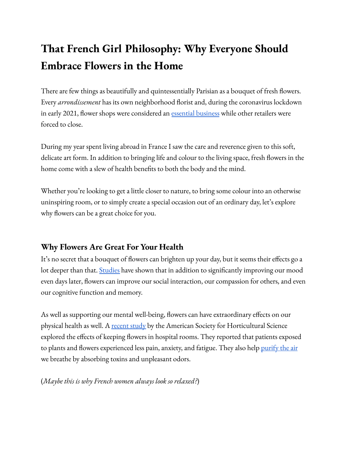# **That French Girl Philosophy: Why Everyone Should Embrace Flowers in the Home**

There are few things as beautifully and quintessentially Parisian as a bouquet of fresh flowers. Every *arrondissement* has its own neighborhood florist and, during the coronavirus lockdown in early 2021, flower shops were considered an essential [business](https://aiph.org/floraculture/news/victory-for-frances-industry-body-valhor-as-florists-and-garden-centres-can-stay-open-during-the-countrys-partial-lockdown/) while other retailers were forced to close.

During my year spent living abroad in France I saw the care and reverence given to this soft, delicate art form. In addition to bringing life and colour to the living space, fresh flowers in the home come with a slew of health benefits to both the body and the mind.

Whether you're looking to get a little closer to nature, to bring some colour into an otherwise uninspiring room, or to simply create a special occasion out of an ordinary day, let's explore why flowers can be a great choice for you.

## **Why Flowers Are Great For Your Health**

It's no secret that a bouquet of flowers can brighten up your day, but it seems their effects go a lot deeper than that. [Studies](https://journals.sagepub.com/doi/pdf/10.1177/147470490500300109) have shown that in addition to significantly improving our mood even days later, flowers can improve our social interaction, our compassion for others, and even our cognitive function and memory.

As well as supporting our mental well-being, flowers can have extraordinary effects on our physical health as well. A [recent](https://journals.ashs.org/horttech/view/journals/horttech/18/4/article-p563.xml) study by the American Society for Horticultural Science explored the effects of keeping flowers in hospital rooms. They reported that patients exposed to plants and flowers experienced less pain, anxiety, and fatigue. They also help <u>[purify](https://scholarspace.manoa.hawaii.edu/handle/10125/2960) the air</u> we breathe by absorbing toxins and unpleasant odors.

#### (*Maybe this is why French women always look so relaxed?*)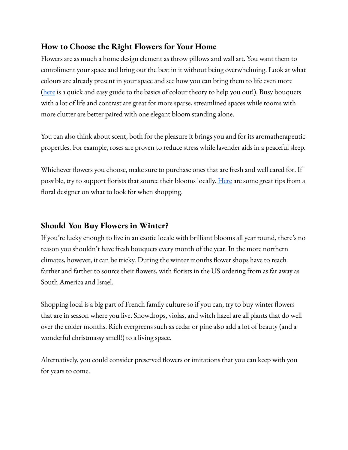### **How to Choose the Right Flowers for Your Home**

Flowers are as much a home design element as throw pillows and wall art. You want them to compliment your space and bring out the best in it without being overwhelming. Look at what colours are already present in your space and see how you can bring them to life even more [\(here](https://lifehacker.com/learn-the-basics-of-color-theory-to-know-what-looks-goo-1608972072) is a quick and easy guide to the basics of colour theory to help you out!). Busy bouquets with a lot of life and contrast are great for more sparse, streamlined spaces while rooms with more clutter are better paired with one elegant bloom standing alone.

You can also think about scent, both for the pleasure it brings you and for its aromatherapeutic properties. For example, roses are proven to reduce stress while lavender aids in a peaceful sleep.

Whichever flowers you choose, make sure to purchase ones that are fresh and well cared for. If possible, try to support florists that source their blooms locally. <u>[Here](https://www.apartmenttherapy.com/tips-for-choosing-and-caring-for-flowers-from-a-florist-floral-designer-244406)</u> are some great tips from a floral designer on what to look for when shopping.

#### **Should You Buy Flowers in Winter?**

If you're lucky enough to live in an exotic locale with brilliant blooms all year round, there's no reason you shouldn't have fresh bouquets every month of the year. In the more northern climates, however, it can be tricky. During the winter months flower shops have to reach farther and farther to source their flowers, with florists in the US ordering from as far away as South America and Israel.

Shopping local is a big part of French family culture so if you can, try to buy winter flowers that are in season where you live. Snowdrops, violas, and witch hazel are all plants that do well over the colder months. Rich evergreens such as cedar or pine also add a lot of beauty (and a wonderful christmassy smell!) to a living space.

Alternatively, you could consider preserved flowers or imitations that you can keep with you for years to come.